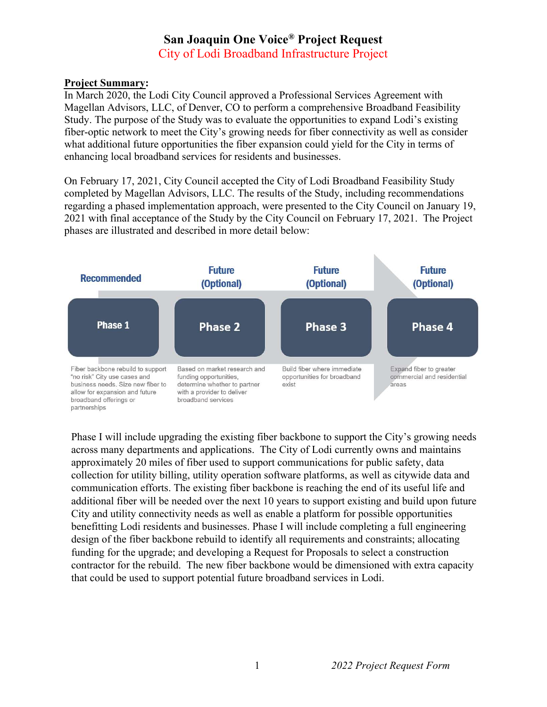## San Joaquin One Voice® Project Request City of Lodi Broadband Infrastructure Project

## Project Summary:

In March 2020, the Lodi City Council approved a Professional Services Agreement with Magellan Advisors, LLC, of Denver, CO to perform a comprehensive Broadband Feasibility Study. The purpose of the Study was to evaluate the opportunities to expand Lodi's existing fiber-optic network to meet the City's growing needs for fiber connectivity as well as consider what additional future opportunities the fiber expansion could yield for the City in terms of enhancing local broadband services for residents and businesses.

On February 17, 2021, City Council accepted the City of Lodi Broadband Feasibility Study completed by Magellan Advisors, LLC. The results of the Study, including recommendations regarding a phased implementation approach, were presented to the City Council on January 19, 2021 with final acceptance of the Study by the City Council on February 17, 2021. The Project phases are illustrated and described in more detail below:



Phase I will include upgrading the existing fiber backbone to support the City's growing needs across many departments and applications. The City of Lodi currently owns and maintains approximately 20 miles of fiber used to support communications for public safety, data collection for utility billing, utility operation software platforms, as well as citywide data and communication efforts. The existing fiber backbone is reaching the end of its useful life and additional fiber will be needed over the next 10 years to support existing and build upon future City and utility connectivity needs as well as enable a platform for possible opportunities benefitting Lodi residents and businesses. Phase I will include completing a full engineering design of the fiber backbone rebuild to identify all requirements and constraints; allocating funding for the upgrade; and developing a Request for Proposals to select a construction contractor for the rebuild. The new fiber backbone would be dimensioned with extra capacity that could be used to support potential future broadband services in Lodi.